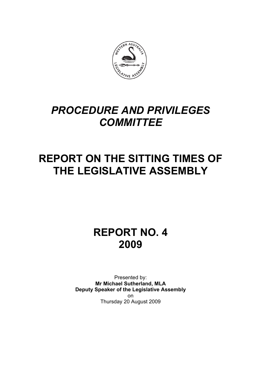

# *PROCEDURE AND PRIVILEGES COMMITTEE*

# **REPORT ON THE SITTING TIMES OF THE LEGISLATIVE ASSEMBLY**

**REPORT NO. 4 2009** 

Presented by: **Mr Michael Sutherland, MLA Deputy Speaker of the Legislative Assembly**  on Thursday 20 August 2009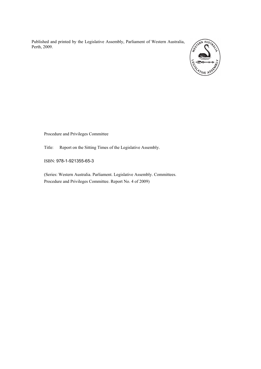Published and printed by the Legislative Assembly, Parliament of Western Australia, Perth, 2009.



Procedure and Privileges Committee

Title: Report on the Sitting Times of the Legislative Assembly.

ISBN: 978-1-921355-65-3

(Series: Western Australia. Parliament. Legislative Assembly. Committees. Procedure and Privileges Committee. Report No. 4 of 2009)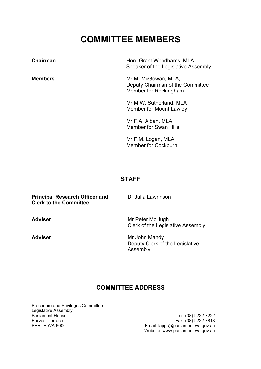## **COMMITTEE MEMBERS**

| Chairman       | Hon. Grant Woodhams, MLA<br>Speaker of the Legislative Assembly                  |
|----------------|----------------------------------------------------------------------------------|
| <b>Members</b> | Mr M. McGowan, MLA,<br>Deputy Chairman of the Committee<br>Member for Rockingham |
|                | Mr M.W. Sutherland, MLA<br>Member for Mount Lawley                               |
|                | Mr F.A. Alban, MLA<br><b>Member for Swan Hills</b>                               |
|                | Mr F.M. Logan, MLA<br><b>Member for Cockburn</b>                                 |
|                |                                                                                  |

#### **STAFF**

| <b>Principal Research Officer and</b><br><b>Clerk to the Committee</b> | Dr Julia Lawrinson                                           |
|------------------------------------------------------------------------|--------------------------------------------------------------|
| <b>Adviser</b>                                                         | Mr Peter McHugh<br>Clerk of the Legislative Assembly         |
| <b>Adviser</b>                                                         | Mr John Mandy<br>Deputy Clerk of the Legislative<br>Assembly |

### **COMMITTEE ADDRESS**

Procedure and Privileges Committee Legislative Assembly<br>Parliament House Parliament House Tel: (08) 9222 7222 Harvest Terrace Fax: (08) 9222 7818

PERTH WA 6000 Email: lappc@parliament.wa.gov.au Website: www.parliament.wa.gov.au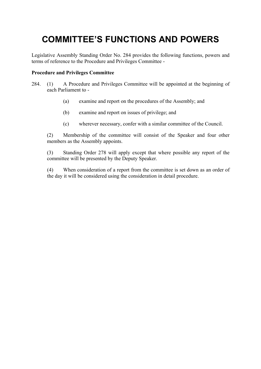## **COMMITTEE'S FUNCTIONS AND POWERS**

Legislative Assembly Standing Order No. 284 provides the following functions, powers and terms of reference to the Procedure and Privileges Committee -

#### **Procedure and Privileges Committee**

- 284. (1) A Procedure and Privileges Committee will be appointed at the beginning of each Parliament to -
	- (a) examine and report on the procedures of the Assembly; and
	- (b) examine and report on issues of privilege; and
	- (c) wherever necessary, confer with a similar committee of the Council.

 (2) Membership of the committee will consist of the Speaker and four other members as the Assembly appoints.

 (3) Standing Order 278 will apply except that where possible any report of the committee will be presented by the Deputy Speaker.

 (4) When consideration of a report from the committee is set down as an order of the day it will be considered using the consideration in detail procedure.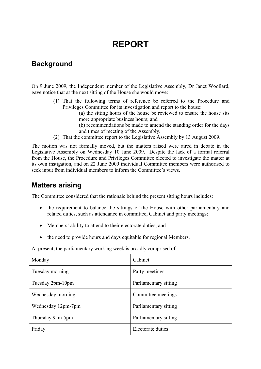## **REPORT**

### **Background**

On 9 June 2009, the Independent member of the Legislative Assembly, Dr Janet Woollard, gave notice that at the next sitting of the House she would move:

> (1) That the following terms of reference be referred to the Procedure and Privileges Committee for its investigation and report to the house:

(a) the sitting hours of the house be reviewed to ensure the house sits more appropriate business hours; and

(b) recommendations be made to amend the standing order for the days and times of meeting of the Assembly.

(2) That the committee report to the Legislative Assembly by 13 August 2009.

The motion was not formally moved, but the matters raised were aired in debate in the Legislative Assembly on Wednesday 10 June 2009. Despite the lack of a formal referral from the House, the Procedure and Privileges Committee elected to investigate the matter at its own instigation, and on 22 June 2009 individual Committee members were authorised to seek input from individual members to inform the Committee's views.

### **Matters arising**

The Committee considered that the rationale behind the present sitting hours includes:

- the requirement to balance the sittings of the House with other parliamentary and related duties, such as attendance in committee, Cabinet and party meetings;
- Members' ability to attend to their electorate duties; and
- the need to provide hours and days equitable for regional Members.

At present, the parliamentary working week is broadly comprised of:

| Monday             | Cabinet               |
|--------------------|-----------------------|
| Tuesday morning    | Party meetings        |
| Tuesday 2pm-10pm   | Parliamentary sitting |
| Wednesday morning  | Committee meetings    |
| Wednesday 12pm-7pm | Parliamentary sitting |
| Thursday 9am-5pm   | Parliamentary sitting |
| Friday             | Electorate duties     |